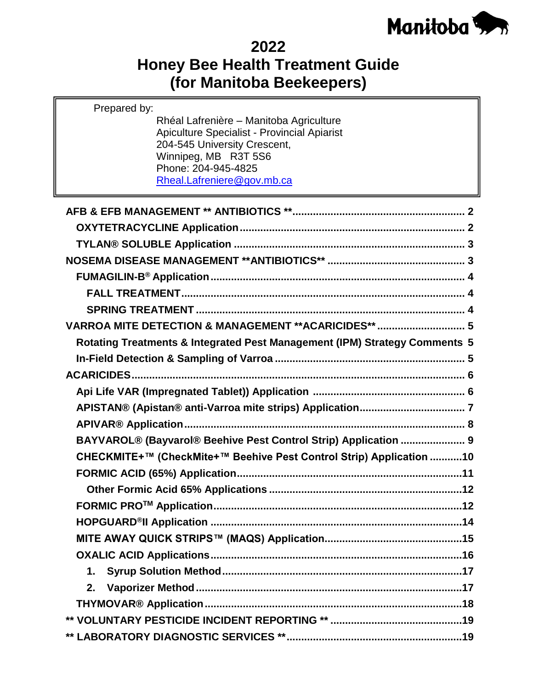

## **2022**

# **Honey Bee Health Treatment Guide (for Manitoba Beekeepers)**

Rhéal Lafrenière – Manitoba Agriculture

Prepared by:

| <b>Apiculture Specialist - Provincial Apiarist</b><br>204-545 University Crescent,<br>Winnipeg, MB R3T 5S6<br>Phone: 204-945-4825<br>Rheal.Lafreniere@gov.mb.ca |
|-----------------------------------------------------------------------------------------------------------------------------------------------------------------|
|                                                                                                                                                                 |
|                                                                                                                                                                 |
|                                                                                                                                                                 |
|                                                                                                                                                                 |
|                                                                                                                                                                 |
|                                                                                                                                                                 |
|                                                                                                                                                                 |
| VARROA MITE DETECTION & MANAGEMENT ** ACARICIDES**  5                                                                                                           |
| Rotating Treatments & Integrated Pest Management (IPM) Strategy Comments 5                                                                                      |
|                                                                                                                                                                 |
|                                                                                                                                                                 |
|                                                                                                                                                                 |
|                                                                                                                                                                 |
|                                                                                                                                                                 |
| BAYVAROL® (Bayvarol® Beehive Pest Control Strip) Application  9                                                                                                 |
| CHECKMITE+™ (CheckMite+™ Beehive Pest Control Strip) Application 10                                                                                             |
|                                                                                                                                                                 |
|                                                                                                                                                                 |
|                                                                                                                                                                 |
|                                                                                                                                                                 |
|                                                                                                                                                                 |
|                                                                                                                                                                 |
| 1.                                                                                                                                                              |
| 2.                                                                                                                                                              |
|                                                                                                                                                                 |
|                                                                                                                                                                 |
|                                                                                                                                                                 |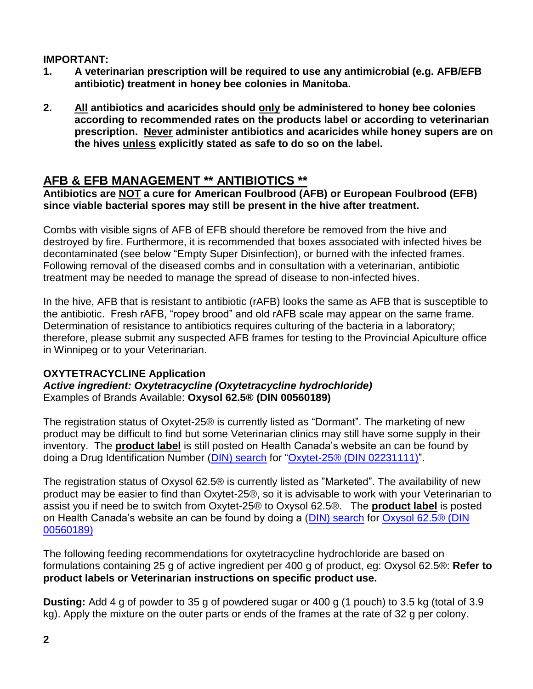#### **IMPORTANT:**

- **1. A veterinarian prescription will be required to use any antimicrobial (e.g. AFB/EFB antibiotic) treatment in honey bee colonies in Manitoba.**
- **2. All antibiotics and acaricides should only be administered to honey bee colonies according to recommended rates on the products label or according to veterinarian prescription. Never administer antibiotics and acaricides while honey supers are on the hives unless explicitly stated as safe to do so on the label.**

## <span id="page-1-0"></span>**AFB & EFB MANAGEMENT \*\* ANTIBIOTICS \*\***

**Antibiotics are NOT a cure for American Foulbrood (AFB) or European Foulbrood (EFB) since viable bacterial spores may still be present in the hive after treatment.**

Combs with visible signs of AFB of EFB should therefore be removed from the hive and destroyed by fire. Furthermore, it is recommended that boxes associated with infected hives be decontaminated (see below "Empty Super Disinfection), or burned with the infected frames. Following removal of the diseased combs and in consultation with a veterinarian, antibiotic treatment may be needed to manage the spread of disease to non-infected hives.

In the hive, AFB that is resistant to antibiotic (rAFB) looks the same as AFB that is susceptible to the antibiotic. Fresh rAFB, "ropey brood" and old rAFB scale may appear on the same frame. Determination of resistance to antibiotics requires culturing of the bacteria in a laboratory; therefore, please submit any suspected AFB frames for testing to the Provincial Apiculture office in Winnipeg or to your Veterinarian.

#### <span id="page-1-1"></span>**OXYTETRACYCLINE Application**

*Active ingredient: Oxytetracycline (Oxytetracycline hydrochloride)* Examples of Brands Available: **Oxysol 62.5® (DIN 00560189)**

The registration status of Oxytet-25® is currently listed as "Dormant". The marketing of new product may be difficult to find but some Veterinarian clinics may still have some supply in their inventory. The **product label** is still posted on Health Canada's website an can be found by doing a Drug Identification Number [\(DIN\) search](https://health-products.canada.ca/dpd-bdpp/index-eng.jsp) for ["Oxytet-25® \(DIN 02231111\)"](https://pdf.hres.ca/dpd_pm/00060184.PDF).

The registration status of Oxysol 62.5® is currently listed as "Marketed". The availability of new product may be easier to find than Oxytet-25®, so it is advisable to work with your Veterinarian to assist you if need be to switch from Oxytet-25® to Oxysol 62.5®. The **product label** is posted on Health Canada's website an can be found by doing a [\(DIN\) search](https://health-products.canada.ca/dpd-bdpp/index-eng.jsp) for [Oxysol 62.5® \(DIN](https://pdf.hres.ca/dpd_pm/00042851.PDF)  [00560189\)](https://pdf.hres.ca/dpd_pm/00042851.PDF)

The following feeding recommendations for oxytetracycline hydrochloride are based on formulations containing 25 g of active ingredient per 400 g of product, eg: Oxysol 62.5®: **Refer to product labels or Veterinarian instructions on specific product use.**

**Dusting:** Add 4 g of powder to 35 g of powdered sugar or 400 g (1 pouch) to 3.5 kg (total of 3.9 kg). Apply the mixture on the outer parts or ends of the frames at the rate of 32 g per colony.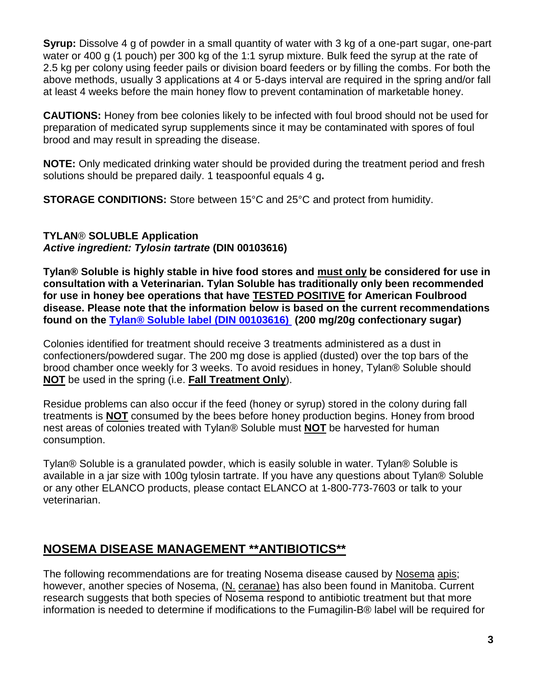**Syrup:** Dissolve 4 g of powder in a small quantity of water with 3 kg of a one-part sugar, one-part water or 400 g (1 pouch) per 300 kg of the 1:1 syrup mixture. Bulk feed the syrup at the rate of 2.5 kg per colony using feeder pails or division board feeders or by filling the combs. For both the above methods, usually 3 applications at 4 or 5-days interval are required in the spring and/or fall at least 4 weeks before the main honey flow to prevent contamination of marketable honey.

**CAUTIONS:** Honey from bee colonies likely to be infected with foul brood should not be used for preparation of medicated syrup supplements since it may be contaminated with spores of foul brood and may result in spreading the disease.

**NOTE:** Only medicated drinking water should be provided during the treatment period and fresh solutions should be prepared daily. 1 teaspoonful equals 4 g**.** 

**STORAGE CONDITIONS:** Store between 15°C and 25°C and protect from humidity.

#### <span id="page-2-0"></span>**TYLAN**® **SOLUBLE Application** *Active ingredient: Tylosin tartrate* **(DIN 00103616)**

**Tylan® Soluble is highly stable in hive food stores and must only be considered for use in consultation with a Veterinarian. Tylan Soluble has traditionally only been recommended for use in honey bee operations that have TESTED POSITIVE for American Foulbrood disease. Please note that the information below is based on the current recommendations found on the [Tylan® Soluble label \(DIN 00103616\)](https://pdf.hres.ca/dpd_pm/00043726.PDF) (200 mg/20g confectionary sugar)**

Colonies identified for treatment should receive 3 treatments administered as a dust in confectioners/powdered sugar. The 200 mg dose is applied (dusted) over the top bars of the brood chamber once weekly for 3 weeks. To avoid residues in honey, Tylan® Soluble should **NOT** be used in the spring (i.e. **Fall Treatment Only**).

Residue problems can also occur if the feed (honey or syrup) stored in the colony during fall treatments is **NOT** consumed by the bees before honey production begins. Honey from brood nest areas of colonies treated with Tylan® Soluble must **NOT** be harvested for human consumption.

Tylan® Soluble is a granulated powder, which is easily soluble in water. Tylan® Soluble is available in a jar size with 100g tylosin tartrate. If you have any questions about Tylan® Soluble or any other ELANCO products, please contact ELANCO at 1-800-773-7603 or talk to your veterinarian.

## <span id="page-2-1"></span>**NOSEMA DISEASE MANAGEMENT \*\*ANTIBIOTICS\*\***

The following recommendations are for treating Nosema disease caused by Nosema apis; however, another species of Nosema, (N. ceranae) has also been found in Manitoba. Current research suggests that both species of Nosema respond to antibiotic treatment but that more information is needed to determine if modifications to the Fumagilin-B® label will be required for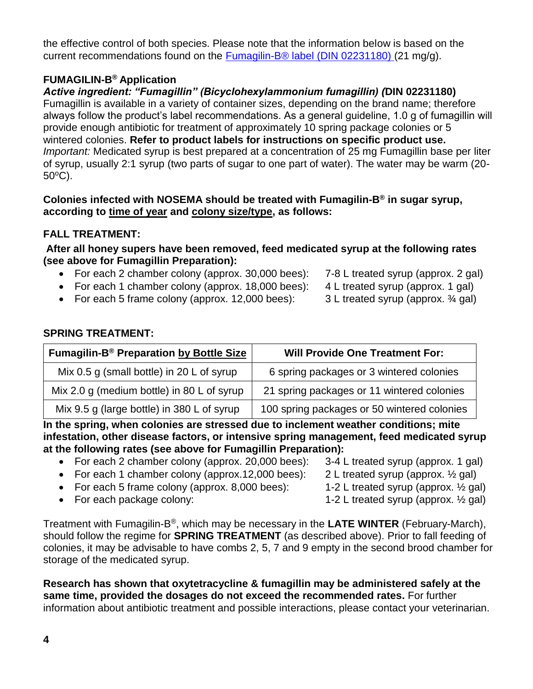the effective control of both species. Please note that the information below is based on the current recommendations found on the [Fumagilin-B® label \(DIN 02231180\) \(](https://pdf.hres.ca/dpd_pm/00054766.PDF)21 mg/g).

#### <span id="page-3-0"></span>**FUMAGILIN-B® Application**

*Active ingredient: "Fumagillin" (Bicyclohexylammonium fumagillin) (***DIN 02231180)**

Fumagillin is available in a variety of container sizes, depending on the brand name; therefore always follow the product's label recommendations. As a general guideline, 1.0 g of fumagillin will provide enough antibiotic for treatment of approximately 10 spring package colonies or 5 wintered colonies. **Refer to product labels for instructions on specific product use.** *Important:* Medicated syrup is best prepared at a concentration of 25 mg Fumagillin base per liter of syrup, usually 2:1 syrup (two parts of sugar to one part of water). The water may be warm (20-  $50^{\circ}$ C).

#### **Colonies infected with NOSEMA should be treated with Fumagilin-B® in sugar syrup, according to time of year and colony size/type, as follows:**

#### <span id="page-3-1"></span>**FALL TREATMENT:**

**After all honey supers have been removed, feed medicated syrup at the following rates (see above for Fumagillin Preparation):**

- For each 2 chamber colony (approx. 30,000 bees): 7-8 L treated syrup (approx. 2 gal)
- For each 1 chamber colony (approx. 18,000 bees): 4 L treated syrup (approx. 1 gal)
- For each 5 frame colony (approx. 12,000 bees): 3 L treated syrup (approx. ¾ gal)
- 
- -

#### <span id="page-3-2"></span>**SPRING TREATMENT:**

| Fumagilin-B <sup>®</sup> Preparation by Bottle Size | <b>Will Provide One Treatment For:</b>      |
|-----------------------------------------------------|---------------------------------------------|
| Mix 0.5 g (small bottle) in 20 L of syrup           | 6 spring packages or 3 wintered colonies    |
| Mix 2.0 g (medium bottle) in 80 L of syrup          | 21 spring packages or 11 wintered colonies  |
| Mix 9.5 g (large bottle) in 380 L of syrup          | 100 spring packages or 50 wintered colonies |

**In the spring, when colonies are stressed due to inclement weather conditions; mite infestation, other disease factors, or intensive spring management, feed medicated syrup at the following rates (see above for Fumagillin Preparation):**

- For each 2 chamber colony (approx. 20,000 bees): 3-4 L treated syrup (approx. 1 gal)
- For each 1 chamber colony (approx.12,000 bees):  $2 \text{ L}$  treated syrup (approx.  $\frac{1}{2}$  gal)
- For each 5 frame colony (approx. 8,000 bees): 1-2 L treated syrup (approx. 1/2 gal)
- 
- 
- 
- 
- For each package colony:  $1-2$  L treated syrup (approx.  $\frac{1}{2}$  gal)

Treatment with Fumagilin-B®, which may be necessary in the **LATE WINTER** (February-March), should follow the regime for **SPRING TREATMENT** (as described above). Prior to fall feeding of colonies, it may be advisable to have combs 2, 5, 7 and 9 empty in the second brood chamber for storage of the medicated syrup.

**Research has shown that oxytetracycline & fumagillin may be administered safely at the same time, provided the dosages do not exceed the recommended rates.** For further information about antibiotic treatment and possible interactions, please contact your veterinarian.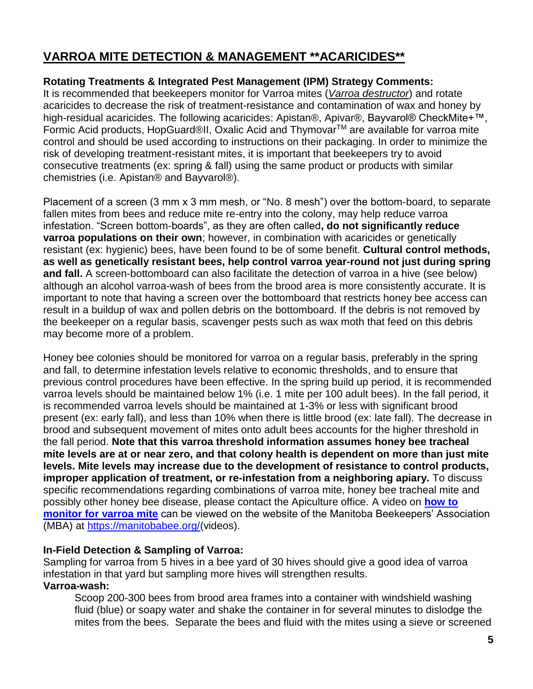## <span id="page-4-0"></span>**VARROA MITE DETECTION & MANAGEMENT \*\*ACARICIDES\*\***

#### <span id="page-4-1"></span>**Rotating Treatments & Integrated Pest Management (IPM) Strategy Comments:**

It is recommended that beekeepers monitor for Varroa mites (*Varroa destructor*) and rotate acaricides to decrease the risk of treatment-resistance and contamination of wax and honey by high-residual acaricides. The following acaricides: Apistan®, Apivar®, Bayvarol® CheckMite+™, Formic Acid products, HopGuard®II, Oxalic Acid and Thymovar<sup>™</sup> are available for varroa mite control and should be used according to instructions on their packaging. In order to minimize the risk of developing treatment-resistant mites, it is important that beekeepers try to avoid consecutive treatments (ex: spring & fall) using the same product or products with similar chemistries (i.e. Apistan® and Bayvarol®).

Placement of a screen (3 mm x 3 mm mesh, or "No. 8 mesh") over the bottom-board, to separate fallen mites from bees and reduce mite re-entry into the colony, may help reduce varroa infestation. "Screen bottom-boards", as they are often called**, do not significantly reduce varroa populations on their own**; however, in combination with acaricides or genetically resistant (ex: hygienic) bees, have been found to be of some benefit. **Cultural control methods, as well as genetically resistant bees, help control varroa year-round not just during spring and fall.** A screen-bottomboard can also facilitate the detection of varroa in a hive (see below) although an alcohol varroa-wash of bees from the brood area is more consistently accurate. It is important to note that having a screen over the bottomboard that restricts honey bee access can result in a buildup of wax and pollen debris on the bottomboard. If the debris is not removed by the beekeeper on a regular basis, scavenger pests such as wax moth that feed on this debris may become more of a problem.

Honey bee colonies should be monitored for varroa on a regular basis, preferably in the spring and fall, to determine infestation levels relative to economic thresholds, and to ensure that previous control procedures have been effective. In the spring build up period, it is recommended varroa levels should be maintained below 1% (i.e. 1 mite per 100 adult bees). In the fall period, it is recommended varroa levels should be maintained at 1-3% or less with significant brood present (ex: early fall), and less than 10% when there is little brood (ex: late fall). The decrease in brood and subsequent movement of mites onto adult bees accounts for the higher threshold in the fall period. **Note that this varroa threshold information assumes honey bee tracheal mite levels are at or near zero, and that colony health is dependent on more than just mite levels. Mite levels may increase due to the development of resistance to control products, improper application of treatment, or re-infestation from a neighboring apiary.** To discuss specific recommendations regarding combinations of varroa mite, honey bee tracheal mite and possibly other honey bee disease, please contact the Apiculture office. A video on **[how to](https://manitobabee.org/hive/varroa-mite-monitoring/)  [monitor for varroa mite](https://manitobabee.org/hive/varroa-mite-monitoring/)** can be viewed on the website of the Manitoba Beekeepers' Association (MBA) at [https://manitobabee.org/\(](https://manitobabee.org/hive)videos).

#### <span id="page-4-2"></span>**In-Field Detection & Sampling of Varroa:**

Sampling for varroa from 5 hives in a bee yard of 30 hives should give a good idea of varroa infestation in that yard but sampling more hives will strengthen results.

#### **Varroa-wash:**

Scoop 200-300 bees from brood area frames into a container with windshield washing fluid (blue) or soapy water and shake the container in for several minutes to dislodge the mites from the bees. Separate the bees and fluid with the mites using a sieve or screened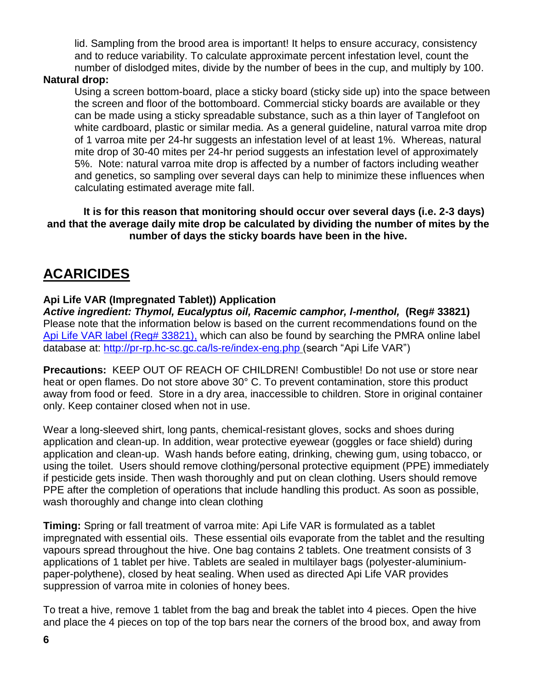lid. Sampling from the brood area is important! It helps to ensure accuracy, consistency and to reduce variability. To calculate approximate percent infestation level, count the number of dislodged mites, divide by the number of bees in the cup, and multiply by 100.

#### **Natural drop:**

Using a screen bottom-board, place a sticky board (sticky side up) into the space between the screen and floor of the bottomboard. Commercial sticky boards are available or they can be made using a sticky spreadable substance, such as a thin layer of Tanglefoot on white cardboard, plastic or similar media. As a general guideline, natural varroa mite drop of 1 varroa mite per 24-hr suggests an infestation level of at least 1%. Whereas, natural mite drop of 30-40 mites per 24-hr period suggests an infestation level of approximately 5%. Note: natural varroa mite drop is affected by a number of factors including weather and genetics, so sampling over several days can help to minimize these influences when calculating estimated average mite fall.

**It is for this reason that monitoring should occur over several days (i.e. 2-3 days) and that the average daily mite drop be calculated by dividing the number of mites by the number of days the sticky boards have been in the hive.**

## <span id="page-5-0"></span>**ACARICIDES**

#### <span id="page-5-1"></span>**Api Life VAR (Impregnated Tablet)) Application**

*Active ingredient: Thymol, Eucalyptus oil, Racemic camphor, l-menthol,* **(Reg# 33821)** Please note that the information below is based on the current recommendations found on the [Api Life VAR label \(Reg# 33821\),](https://pr-rp.hc-sc.gc.ca/1_1/view_label?p_ukid=187677061) which can also be found by searching the PMRA online label database at:<http://pr-rp.hc-sc.gc.ca/ls-re/index-eng.php> (search "Api Life VAR")

**Precautions:** KEEP OUT OF REACH OF CHILDREN! Combustible! Do not use or store near heat or open flames. Do not store above 30° C. To prevent contamination, store this product away from food or feed. Store in a dry area, inaccessible to children. Store in original container only. Keep container closed when not in use.

Wear a long-sleeved shirt, long pants, chemical-resistant gloves, socks and shoes during application and clean-up. In addition, wear protective eyewear (goggles or face shield) during application and clean-up. Wash hands before eating, drinking, chewing gum, using tobacco, or using the toilet. Users should remove clothing/personal protective equipment (PPE) immediately if pesticide gets inside. Then wash thoroughly and put on clean clothing. Users should remove PPE after the completion of operations that include handling this product. As soon as possible, wash thoroughly and change into clean clothing

**Timing:** Spring or fall treatment of varroa mite: Api Life VAR is formulated as a tablet impregnated with essential oils. These essential oils evaporate from the tablet and the resulting vapours spread throughout the hive. One bag contains 2 tablets. One treatment consists of 3 applications of 1 tablet per hive. Tablets are sealed in multilayer bags (polyester-aluminiumpaper-polythene), closed by heat sealing. When used as directed Api Life VAR provides suppression of varroa mite in colonies of honey bees.

To treat a hive, remove 1 tablet from the bag and break the tablet into 4 pieces. Open the hive and place the 4 pieces on top of the top bars near the corners of the brood box, and away from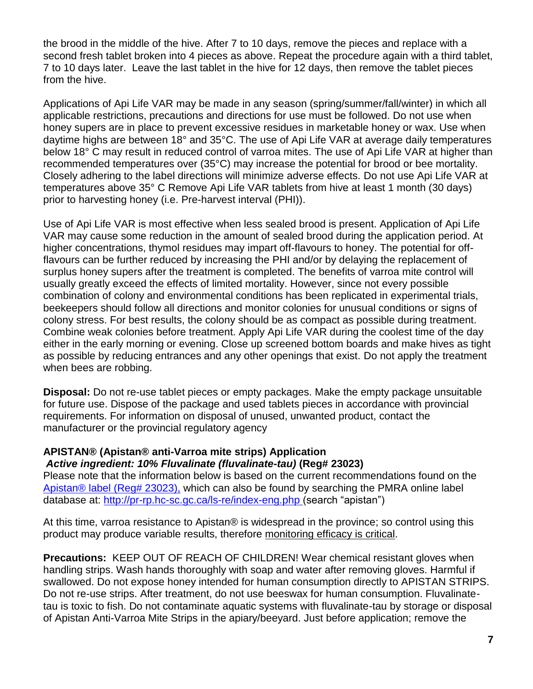the brood in the middle of the hive. After 7 to 10 days, remove the pieces and replace with a second fresh tablet broken into 4 pieces as above. Repeat the procedure again with a third tablet, 7 to 10 days later. Leave the last tablet in the hive for 12 days, then remove the tablet pieces from the hive.

Applications of Api Life VAR may be made in any season (spring/summer/fall/winter) in which all applicable restrictions, precautions and directions for use must be followed. Do not use when honey supers are in place to prevent excessive residues in marketable honey or wax. Use when daytime highs are between 18° and 35°C. The use of Api Life VAR at average daily temperatures below 18° C may result in reduced control of varroa mites. The use of Api Life VAR at higher than recommended temperatures over (35°C) may increase the potential for brood or bee mortality. Closely adhering to the label directions will minimize adverse effects. Do not use Api Life VAR at temperatures above 35° C Remove Api Life VAR tablets from hive at least 1 month (30 days) prior to harvesting honey (i.e. Pre-harvest interval (PHI)).

Use of Api Life VAR is most effective when less sealed brood is present. Application of Api Life VAR may cause some reduction in the amount of sealed brood during the application period. At higher concentrations, thymol residues may impart off-flavours to honey. The potential for offflavours can be further reduced by increasing the PHI and/or by delaying the replacement of surplus honey supers after the treatment is completed. The benefits of varroa mite control will usually greatly exceed the effects of limited mortality. However, since not every possible combination of colony and environmental conditions has been replicated in experimental trials, beekeepers should follow all directions and monitor colonies for unusual conditions or signs of colony stress. For best results, the colony should be as compact as possible during treatment. Combine weak colonies before treatment. Apply Api Life VAR during the coolest time of the day either in the early morning or evening. Close up screened bottom boards and make hives as tight as possible by reducing entrances and any other openings that exist. Do not apply the treatment when bees are robbing.

**Disposal:** Do not re-use tablet pieces or empty packages. Make the empty package unsuitable for future use. Dispose of the package and used tablets pieces in accordance with provincial requirements. For information on disposal of unused, unwanted product, contact the manufacturer or the provincial regulatory agency

#### <span id="page-6-0"></span>**APISTAN® (Apistan® anti-Varroa mite strips) Application** *Active ingredient: 10% Fluvalinate (fluvalinate-tau)* **(Reg# 23023)**

Please note that the information below is based on the current recommendations found on the Apistan® [label \(Reg# 23023\),](https://pr-rp.hc-sc.gc.ca/1_1/view_label?p_ukid=149133787) which can also be found by searching the PMRA online label database at:<http://pr-rp.hc-sc.gc.ca/ls-re/index-eng.php> (search "apistan")

At this time, varroa resistance to Apistan® is widespread in the province; so control using this product may produce variable results, therefore monitoring efficacy is critical.

**Precautions:** KEEP OUT OF REACH OF CHILDREN! Wear chemical resistant gloves when handling strips. Wash hands thoroughly with soap and water after removing gloves. Harmful if swallowed. Do not expose honey intended for human consumption directly to APISTAN STRIPS. Do not re-use strips. After treatment, do not use beeswax for human consumption. Fluvalinatetau is toxic to fish. Do not contaminate aquatic systems with fluvalinate-tau by storage or disposal of Apistan Anti-Varroa Mite Strips in the apiary/beeyard. Just before application; remove the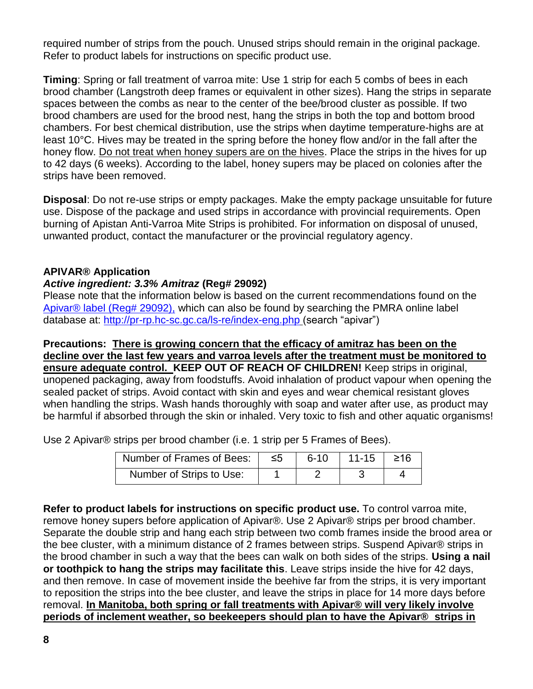required number of strips from the pouch. Unused strips should remain in the original package. Refer to product labels for instructions on specific product use.

**Timing**: Spring or fall treatment of varroa mite: Use 1 strip for each 5 combs of bees in each brood chamber (Langstroth deep frames or equivalent in other sizes). Hang the strips in separate spaces between the combs as near to the center of the bee/brood cluster as possible. If two brood chambers are used for the brood nest, hang the strips in both the top and bottom brood chambers. For best chemical distribution, use the strips when daytime temperature-highs are at least 10°C. Hives may be treated in the spring before the honey flow and/or in the fall after the honey flow. Do not treat when honey supers are on the hives. Place the strips in the hives for up to 42 days (6 weeks). According to the label, honey supers may be placed on colonies after the strips have been removed.

**Disposal**: Do not re-use strips or empty packages. Make the empty package unsuitable for future use. Dispose of the package and used strips in accordance with provincial requirements. Open burning of Apistan Anti-Varroa Mite Strips is prohibited. For information on disposal of unused, unwanted product, contact the manufacturer or the provincial regulatory agency.

#### <span id="page-7-0"></span>**APIVAR® Application**

#### *Active ingredient: 3.3% Amitraz* **(Reg# 29092)**

Please note that the information below is based on the current recommendations found on the [Apivar® label \(Reg# 29092\),](https://pr-rp.hc-sc.gc.ca/1_1/view_label?p_ukid=149139945) which can also be found by searching the PMRA online label database at:<http://pr-rp.hc-sc.gc.ca/ls-re/index-eng.php> (search "apivar")

**Precautions: There is growing concern that the efficacy of amitraz has been on the decline over the last few years and varroa levels after the treatment must be monitored to ensure adequate control. KEEP OUT OF REACH OF CHILDREN!** Keep strips in original, unopened packaging, away from foodstuffs. Avoid inhalation of product vapour when opening the sealed packet of strips. Avoid contact with skin and eyes and wear chemical resistant gloves when handling the strips. Wash hands thoroughly with soap and water after use, as product may be harmful if absorbed through the skin or inhaled. Very toxic to fish and other aquatic organisms!

Use 2 Apivar® strips per brood chamber (i.e. 1 strip per 5 Frames of Bees).

| Number of Frames of Bees: | ึ ≤5 | $6 - 10$ | $11-15$   $\geq 16$ |  |
|---------------------------|------|----------|---------------------|--|
| Number of Strips to Use:  |      |          |                     |  |

**Refer to product labels for instructions on specific product use.** To control varroa mite, remove honey supers before application of Apivar®. Use 2 Apivar® strips per brood chamber. Separate the double strip and hang each strip between two comb frames inside the brood area or the bee cluster, with a minimum distance of 2 frames between strips. Suspend Apivar® strips in the brood chamber in such a way that the bees can walk on both sides of the strips. **Using a nail or toothpick to hang the strips may facilitate this**. Leave strips inside the hive for 42 days, and then remove. In case of movement inside the beehive far from the strips, it is very important to reposition the strips into the bee cluster, and leave the strips in place for 14 more days before removal. **In Manitoba, both spring or fall treatments with Apivar® will very likely involve periods of inclement weather, so beekeepers should plan to have the Apivar® strips in**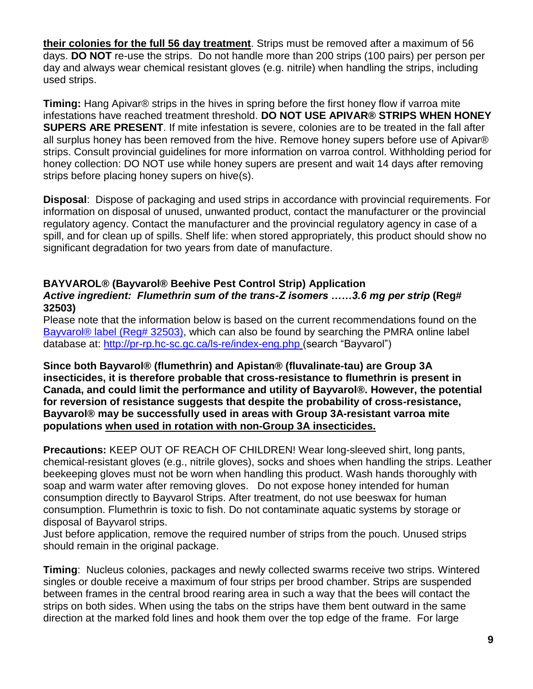**their colonies for the full 56 day treatment**. Strips must be removed after a maximum of 56 days. **DO NOT** re-use the strips. Do not handle more than 200 strips (100 pairs) per person per day and always wear chemical resistant gloves (e.g. nitrile) when handling the strips, including used strips.

**Timing:** Hang Apivar® strips in the hives in spring before the first honey flow if varroa mite infestations have reached treatment threshold. **DO NOT USE APIVAR® STRIPS WHEN HONEY SUPERS ARE PRESENT**. If mite infestation is severe, colonies are to be treated in the fall after all surplus honey has been removed from the hive. Remove honey supers before use of Apivar® strips. Consult provincial guidelines for more information on varroa control. Withholding period for honey collection: DO NOT use while honey supers are present and wait 14 days after removing strips before placing honey supers on hive(s).

**Disposal**: Dispose of packaging and used strips in accordance with provincial requirements. For information on disposal of unused, unwanted product, contact the manufacturer or the provincial regulatory agency. Contact the manufacturer and the provincial regulatory agency in case of a spill, and for clean up of spills. Shelf life: when stored appropriately, this product should show no significant degradation for two years from date of manufacture.

#### <span id="page-8-0"></span>**BAYVAROL® (Bayvarol® Beehive Pest Control Strip) Application** *Active ingredient: Flumethrin sum of the trans-Z isomers ……3.6 mg per strip* **(Reg# 32503)**

Please note that the information below is based on the current recommendations found on the Bayvarol<sup>®</sup> label (Reg# 32503), which can also be found by searching the PMRA online label database at:<http://pr-rp.hc-sc.gc.ca/ls-re/index-eng.php> (search "Bayvarol")

**Since both Bayvarol® (flumethrin) and Apistan® (fluvalinate-tau) are Group 3A insecticides, it is therefore probable that cross-resistance to flumethrin is present in Canada, and could limit the performance and utility of Bayvarol®. However, the potential for reversion of resistance suggests that despite the probability of cross-resistance, Bayvarol® may be successfully used in areas with Group 3A-resistant varroa mite populations when used in rotation with non-Group 3A insecticides.**

**Precautions:** KEEP OUT OF REACH OF CHILDREN! Wear long-sleeved shirt, long pants, chemical-resistant gloves (e.g., nitrile gloves), socks and shoes when handling the strips. Leather beekeeping gloves must not be worn when handling this product. Wash hands thoroughly with soap and warm water after removing gloves. Do not expose honey intended for human consumption directly to Bayvarol Strips. After treatment, do not use beeswax for human consumption. Flumethrin is toxic to fish. Do not contaminate aquatic systems by storage or disposal of Bayvarol strips.

Just before application, remove the required number of strips from the pouch. Unused strips should remain in the original package.

**Timing**: Nucleus colonies, packages and newly collected swarms receive two strips. Wintered singles or double receive a maximum of four strips per brood chamber. Strips are suspended between frames in the central brood rearing area in such a way that the bees will contact the strips on both sides. When using the tabs on the strips have them bent outward in the same direction at the marked fold lines and hook them over the top edge of the frame. For large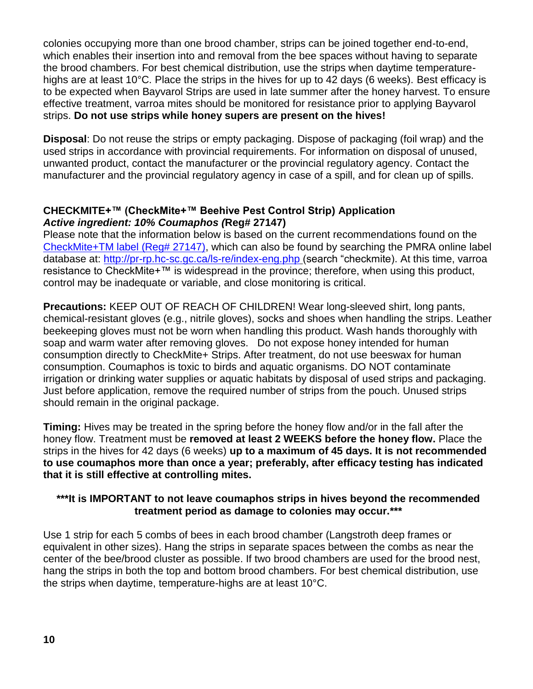colonies occupying more than one brood chamber, strips can be joined together end-to-end, which enables their insertion into and removal from the bee spaces without having to separate the brood chambers. For best chemical distribution, use the strips when daytime temperaturehighs are at least 10°C. Place the strips in the hives for up to 42 days (6 weeks). Best efficacy is to be expected when Bayvarol Strips are used in late summer after the honey harvest. To ensure effective treatment, varroa mites should be monitored for resistance prior to applying Bayvarol strips. **Do not use strips while honey supers are present on the hives!**

**Disposal**: Do not reuse the strips or empty packaging. Dispose of packaging (foil wrap) and the used strips in accordance with provincial requirements. For information on disposal of unused, unwanted product, contact the manufacturer or the provincial regulatory agency. Contact the manufacturer and the provincial regulatory agency in case of a spill, and for clean up of spills.

#### <span id="page-9-0"></span>**CHECKMITE+™ (CheckMite+™ Beehive Pest Control Strip) Application** *Active ingredient: 10% Coumaphos (***Reg# 27147)**

Please note that the information below is based on the current recommendations found on the [CheckMite+TM label \(Reg# 27147\),](https://pr-rp.hc-sc.gc.ca/1_1/view_label?p_ukid=149134787) which can also be found by searching the PMRA online label database at: <http://pr-rp.hc-sc.gc.ca/ls-re/index-eng.php> (search "checkmite). At this time, varroa resistance to CheckMite+™ is widespread in the province; therefore, when using this product, control may be inadequate or variable, and close monitoring is critical.

**Precautions:** KEEP OUT OF REACH OF CHILDREN! Wear long-sleeved shirt, long pants, chemical-resistant gloves (e.g., nitrile gloves), socks and shoes when handling the strips. Leather beekeeping gloves must not be worn when handling this product. Wash hands thoroughly with soap and warm water after removing gloves. Do not expose honey intended for human consumption directly to CheckMite+ Strips. After treatment, do not use beeswax for human consumption. Coumaphos is toxic to birds and aquatic organisms. DO NOT contaminate irrigation or drinking water supplies or aquatic habitats by disposal of used strips and packaging. Just before application, remove the required number of strips from the pouch. Unused strips should remain in the original package.

**Timing:** Hives may be treated in the spring before the honey flow and/or in the fall after the honey flow. Treatment must be **removed at least 2 WEEKS before the honey flow.** Place the strips in the hives for 42 days (6 weeks) **up to a maximum of 45 days. It is not recommended to use coumaphos more than once a year; preferably, after efficacy testing has indicated that it is still effective at controlling mites.**

#### **\*\*\*It is IMPORTANT to not leave coumaphos strips in hives beyond the recommended treatment period as damage to colonies may occur.\*\*\***

Use 1 strip for each 5 combs of bees in each brood chamber (Langstroth deep frames or equivalent in other sizes). Hang the strips in separate spaces between the combs as near the center of the bee/brood cluster as possible. If two brood chambers are used for the brood nest, hang the strips in both the top and bottom brood chambers. For best chemical distribution, use the strips when daytime, temperature-highs are at least 10°C.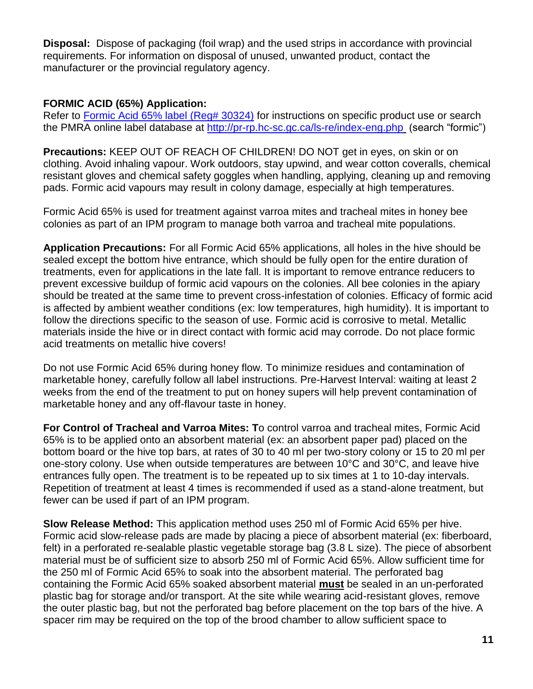**Disposal:** Dispose of packaging (foil wrap) and the used strips in accordance with provincial requirements. For information on disposal of unused, unwanted product, contact the manufacturer or the provincial regulatory agency.

#### <span id="page-10-0"></span>**FORMIC ACID (65%) Application:**

Refer to [Formic Acid 65% label \(Reg# 30324\)](https://pr-rp.hc-sc.gc.ca/1_1/view_label?p_ukid=149132462) for instructions on specific product use or search the PMRA online label database at<http://pr-rp.hc-sc.gc.ca/ls-re/index-eng.php> (search "formic")

**Precautions:** KEEP OUT OF REACH OF CHILDREN! DO NOT get in eyes, on skin or on clothing. Avoid inhaling vapour. Work outdoors, stay upwind, and wear cotton coveralls, chemical resistant gloves and chemical safety goggles when handling, applying, cleaning up and removing pads. Formic acid vapours may result in colony damage, especially at high temperatures.

Formic Acid 65% is used for treatment against varroa mites and tracheal mites in honey bee colonies as part of an IPM program to manage both varroa and tracheal mite populations.

**Application Precautions:** For all Formic Acid 65% applications, all holes in the hive should be sealed except the bottom hive entrance, which should be fully open for the entire duration of treatments, even for applications in the late fall. It is important to remove entrance reducers to prevent excessive buildup of formic acid vapours on the colonies. All bee colonies in the apiary should be treated at the same time to prevent cross-infestation of colonies. Efficacy of formic acid is affected by ambient weather conditions (ex: low temperatures, high humidity). It is important to follow the directions specific to the season of use. Formic acid is corrosive to metal. Metallic materials inside the hive or in direct contact with formic acid may corrode. Do not place formic acid treatments on metallic hive covers!

Do not use Formic Acid 65% during honey flow. To minimize residues and contamination of marketable honey, carefully follow all label instructions. Pre-Harvest Interval: waiting at least 2 weeks from the end of the treatment to put on honey supers will help prevent contamination of marketable honey and any off-flavour taste in honey.

**For Control of Tracheal and Varroa Mites: T**o control varroa and tracheal mites, Formic Acid 65% is to be applied onto an absorbent material (ex: an absorbent paper pad) placed on the bottom board or the hive top bars, at rates of 30 to 40 ml per two-story colony or 15 to 20 ml per one-story colony. Use when outside temperatures are between 10°C and 30°C, and leave hive entrances fully open. The treatment is to be repeated up to six times at 1 to 10-day intervals. Repetition of treatment at least 4 times is recommended if used as a stand-alone treatment, but fewer can be used if part of an IPM program.

**Slow Release Method:** This application method uses 250 ml of Formic Acid 65% per hive. Formic acid slow-release pads are made by placing a piece of absorbent material (ex: fiberboard, felt) in a perforated re-sealable plastic vegetable storage bag (3.8 L size). The piece of absorbent material must be of sufficient size to absorb 250 ml of Formic Acid 65%. Allow sufficient time for the 250 ml of Formic Acid 65% to soak into the absorbent material. The perforated bag containing the Formic Acid 65% soaked absorbent material **must** be sealed in an un-perforated plastic bag for storage and/or transport. At the site while wearing acid-resistant gloves, remove the outer plastic bag, but not the perforated bag before placement on the top bars of the hive. A spacer rim may be required on the top of the brood chamber to allow sufficient space to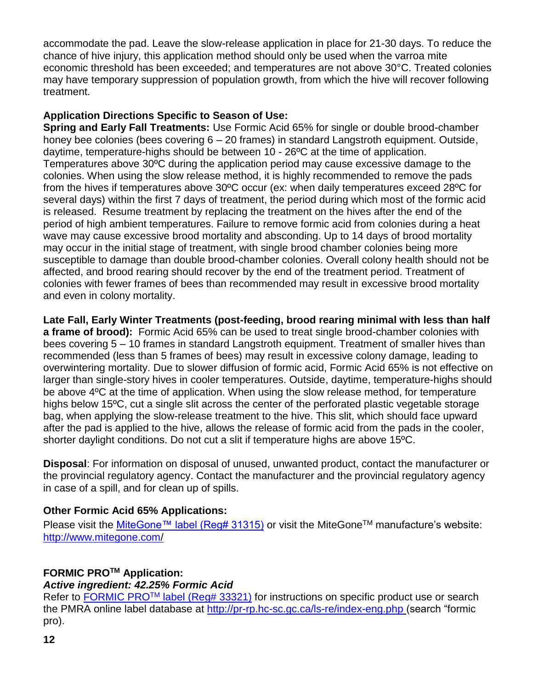accommodate the pad. Leave the slow-release application in place for 21-30 days. To reduce the chance of hive injury, this application method should only be used when the varroa mite economic threshold has been exceeded; and temperatures are not above 30°C. Treated colonies may have temporary suppression of population growth, from which the hive will recover following treatment.

#### **Application Directions Specific to Season of Use:**

**Spring and Early Fall Treatments:** Use Formic Acid 65% for single or double brood-chamber honey bee colonies (bees covering 6 – 20 frames) in standard Langstroth equipment. Outside, daytime, temperature-highs should be between 10 - 26ºC at the time of application. Temperatures above 30ºC during the application period may cause excessive damage to the colonies. When using the slow release method, it is highly recommended to remove the pads from the hives if temperatures above 30ºC occur (ex: when daily temperatures exceed 28ºC for several days) within the first 7 days of treatment, the period during which most of the formic acid is released. Resume treatment by replacing the treatment on the hives after the end of the period of high ambient temperatures. Failure to remove formic acid from colonies during a heat wave may cause excessive brood mortality and absconding. Up to 14 days of brood mortality may occur in the initial stage of treatment, with single brood chamber colonies being more susceptible to damage than double brood-chamber colonies. Overall colony health should not be affected, and brood rearing should recover by the end of the treatment period. Treatment of colonies with fewer frames of bees than recommended may result in excessive brood mortality and even in colony mortality.

**Late Fall, Early Winter Treatments (post-feeding, brood rearing minimal with less than half a frame of brood):** Formic Acid 65% can be used to treat single brood-chamber colonies with bees covering 5 – 10 frames in standard Langstroth equipment. Treatment of smaller hives than recommended (less than 5 frames of bees) may result in excessive colony damage, leading to overwintering mortality. Due to slower diffusion of formic acid, Formic Acid 65% is not effective on larger than single-story hives in cooler temperatures. Outside, daytime, temperature-highs should be above 4ºC at the time of application. When using the slow release method, for temperature highs below 15<sup>o</sup>C, cut a single slit across the center of the perforated plastic vegetable storage bag, when applying the slow-release treatment to the hive. This slit, which should face upward after the pad is applied to the hive, allows the release of formic acid from the pads in the cooler, shorter daylight conditions. Do not cut a slit if temperature highs are above 15ºC.

**Disposal**: For information on disposal of unused, unwanted product, contact the manufacturer or the provincial regulatory agency. Contact the manufacturer and the provincial regulatory agency in case of a spill, and for clean up of spills.

#### <span id="page-11-0"></span>**Other Formic Acid 65% Applications:**

Please visit the [MiteGone™ label \(Reg# 31315\)](https://pr-rp.hc-sc.gc.ca/1_1/view_label?p_ukid=149134326) or visit the MiteGone™ manufacture's website: <http://www.mitegone.com/>

#### <span id="page-11-1"></span>**FORMIC PROTM Application:**

#### *Active ingredient: 42.25% Formic Acid*

Refer to FORMIC PRO™ [label \(Reg# 33321\)](https://pr-rp.hc-sc.gc.ca/1_1/view_label?p_ukid=149137401) for instructions on specific product use or search the PMRA online label database at <http://pr-rp.hc-sc.gc.ca/ls-re/index-eng.php> (search "formic pro).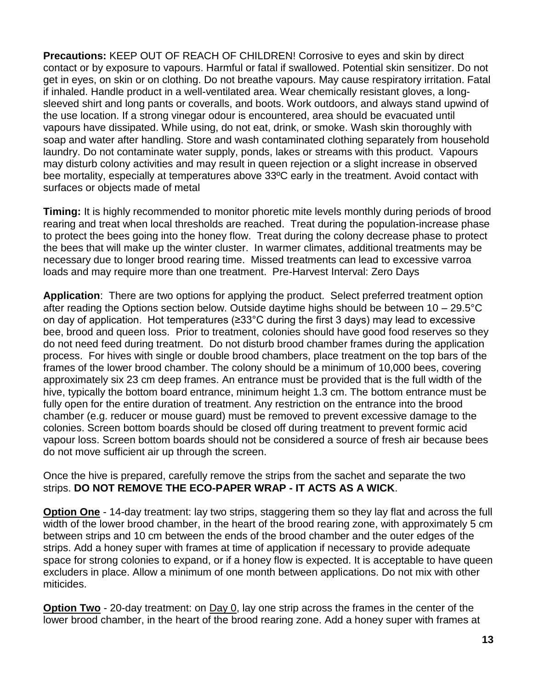**Precautions:** KEEP OUT OF REACH OF CHILDREN! Corrosive to eyes and skin by direct contact or by exposure to vapours. Harmful or fatal if swallowed. Potential skin sensitizer. Do not get in eyes, on skin or on clothing. Do not breathe vapours. May cause respiratory irritation. Fatal if inhaled. Handle product in a well-ventilated area. Wear chemically resistant gloves, a longsleeved shirt and long pants or coveralls, and boots. Work outdoors, and always stand upwind of the use location. If a strong vinegar odour is encountered, area should be evacuated until vapours have dissipated. While using, do not eat, drink, or smoke. Wash skin thoroughly with soap and water after handling. Store and wash contaminated clothing separately from household laundry. Do not contaminate water supply, ponds, lakes or streams with this product. Vapours may disturb colony activities and may result in queen rejection or a slight increase in observed bee mortality, especially at temperatures above 33ºC early in the treatment. Avoid contact with surfaces or objects made of metal

**Timing:** It is highly recommended to monitor phoretic mite levels monthly during periods of brood rearing and treat when local thresholds are reached. Treat during the population-increase phase to protect the bees going into the honey flow. Treat during the colony decrease phase to protect the bees that will make up the winter cluster. In warmer climates, additional treatments may be necessary due to longer brood rearing time. Missed treatments can lead to excessive varroa loads and may require more than one treatment. Pre-Harvest Interval: Zero Days

**Application**: There are two options for applying the product. Select preferred treatment option after reading the Options section below. Outside daytime highs should be between 10 – 29.5°C on day of application. Hot temperatures (≥33°C during the first 3 days) may lead to excessive bee, brood and queen loss. Prior to treatment, colonies should have good food reserves so they do not need feed during treatment. Do not disturb brood chamber frames during the application process. For hives with single or double brood chambers, place treatment on the top bars of the frames of the lower brood chamber. The colony should be a minimum of 10,000 bees, covering approximately six 23 cm deep frames. An entrance must be provided that is the full width of the hive, typically the bottom board entrance, minimum height 1.3 cm. The bottom entrance must be fully open for the entire duration of treatment. Any restriction on the entrance into the brood chamber (e.g. reducer or mouse guard) must be removed to prevent excessive damage to the colonies. Screen bottom boards should be closed off during treatment to prevent formic acid vapour loss. Screen bottom boards should not be considered a source of fresh air because bees do not move sufficient air up through the screen.

Once the hive is prepared, carefully remove the strips from the sachet and separate the two strips. **DO NOT REMOVE THE ECO-PAPER WRAP - IT ACTS AS A WICK**.

**Option One** - 14-day treatment: lay two strips, staggering them so they lay flat and across the full width of the lower brood chamber, in the heart of the brood rearing zone, with approximately 5 cm between strips and 10 cm between the ends of the brood chamber and the outer edges of the strips. Add a honey super with frames at time of application if necessary to provide adequate space for strong colonies to expand, or if a honey flow is expected. It is acceptable to have queen excluders in place. Allow a minimum of one month between applications. Do not mix with other miticides.

**Option Two** - 20-day treatment: on Day 0, lay one strip across the frames in the center of the lower brood chamber, in the heart of the brood rearing zone. Add a honey super with frames at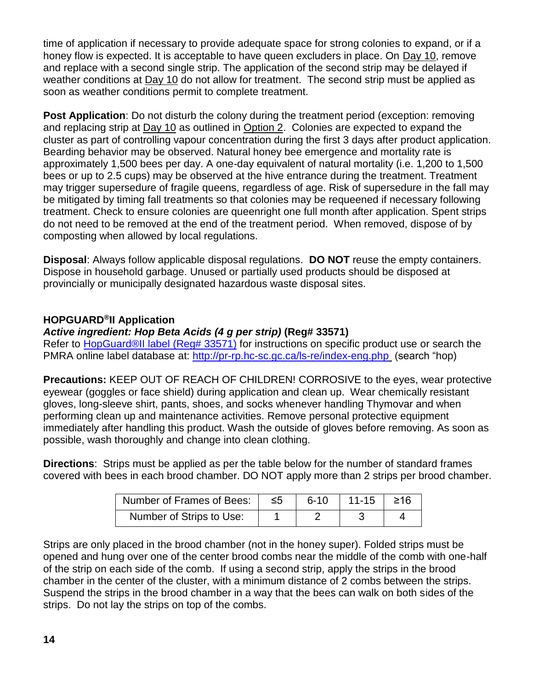time of application if necessary to provide adequate space for strong colonies to expand, or if a honey flow is expected. It is acceptable to have queen excluders in place. On Day 10, remove and replace with a second single strip. The application of the second strip may be delayed if weather conditions at Day 10 do not allow for treatment. The second strip must be applied as soon as weather conditions permit to complete treatment.

**Post Application**: Do not disturb the colony during the treatment period (exception: removing and replacing strip at Day 10 as outlined in Option 2. Colonies are expected to expand the cluster as part of controlling vapour concentration during the first 3 days after product application. Bearding behavior may be observed. Natural honey bee emergence and mortality rate is approximately 1,500 bees per day. A one-day equivalent of natural mortality (i.e. 1,200 to 1,500 bees or up to 2.5 cups) may be observed at the hive entrance during the treatment. Treatment may trigger supersedure of fragile queens, regardless of age. Risk of supersedure in the fall may be mitigated by timing fall treatments so that colonies may be requeened if necessary following treatment. Check to ensure colonies are queenright one full month after application. Spent strips do not need to be removed at the end of the treatment period. When removed, dispose of by composting when allowed by local regulations.

**Disposal**: Always follow applicable disposal regulations. **DO NOT** reuse the empty containers. Dispose in household garbage. Unused or partially used products should be disposed at provincially or municipally designated hazardous waste disposal sites.

#### <span id="page-13-0"></span>**HOPGUARD®II Application**

#### *Active ingredient: Hop Beta Acids (4 g per strip)* **(Reg# 33571)**

Refer to [HopGuard®II label \(Reg# 33571\)](https://pr-rp.hc-sc.gc.ca/1_1/view_label?p_ukid=149139803) for instructions on specific product use or search the PMRA online label database at:<http://pr-rp.hc-sc.gc.ca/ls-re/index-eng.php> (search "hop)

**Precautions:** KEEP OUT OF REACH OF CHILDREN! CORROSIVE to the eyes, wear protective eyewear (goggles or face shield) during application and clean up. Wear chemically resistant gloves, long-sleeve shirt, pants, shoes, and socks whenever handling Thymovar and when performing clean up and maintenance activities. Remove personal protective equipment immediately after handling this product. Wash the outside of gloves before removing. As soon as possible, wash thoroughly and change into clean clothing.

**Directions**: Strips must be applied as per the table below for the number of standard frames covered with bees in each brood chamber. DO NOT apply more than 2 strips per brood chamber.

| Number of Frames of Bees: | -≤5 | $6 - 10$ | $11-15$ $\geq 16$ |  |
|---------------------------|-----|----------|-------------------|--|
| Number of Strips to Use:  |     |          |                   |  |

Strips are only placed in the brood chamber (not in the honey super). Folded strips must be opened and hung over one of the center brood combs near the middle of the comb with one-half of the strip on each side of the comb. If using a second strip, apply the strips in the brood chamber in the center of the cluster, with a minimum distance of 2 combs between the strips. Suspend the strips in the brood chamber in a way that the bees can walk on both sides of the strips. Do not lay the strips on top of the combs.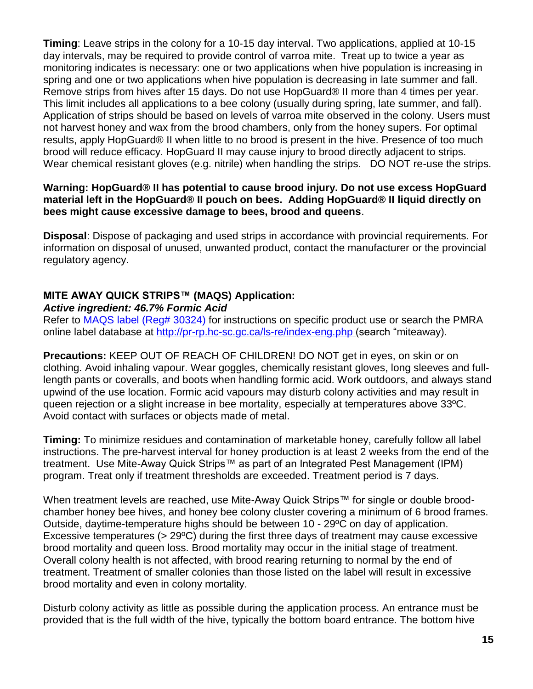**Timing**: Leave strips in the colony for a 10-15 day interval. Two applications, applied at 10-15 day intervals, may be required to provide control of varroa mite. Treat up to twice a year as monitoring indicates is necessary: one or two applications when hive population is increasing in spring and one or two applications when hive population is decreasing in late summer and fall. Remove strips from hives after 15 days. Do not use HopGuard® II more than 4 times per year. This limit includes all applications to a bee colony (usually during spring, late summer, and fall). Application of strips should be based on levels of varroa mite observed in the colony. Users must not harvest honey and wax from the brood chambers, only from the honey supers. For optimal results, apply HopGuard® II when little to no brood is present in the hive. Presence of too much brood will reduce efficacy. HopGuard II may cause injury to brood directly adjacent to strips. Wear chemical resistant gloves (e.g. nitrile) when handling the strips. DO NOT re-use the strips.

#### **Warning: HopGuard® II has potential to cause brood injury. Do not use excess HopGuard material left in the HopGuard® II pouch on bees. Adding HopGuard® II liquid directly on bees might cause excessive damage to bees, brood and queens**.

**Disposal**: Dispose of packaging and used strips in accordance with provincial requirements. For information on disposal of unused, unwanted product, contact the manufacturer or the provincial regulatory agency.

#### <span id="page-14-0"></span>**MITE AWAY QUICK STRIPS™ (MAQS) Application:**

#### *Active ingredient: 46.7% Formic Acid*

Refer to [MAQS label \(Reg# 30324\)](https://pr-rp.hc-sc.gc.ca/1_1/view_label?p_ukid=149139812) for instructions on specific product use or search the PMRA online label database at <http://pr-rp.hc-sc.gc.ca/ls-re/index-eng.php> (search "miteaway).

**Precautions:** KEEP OUT OF REACH OF CHILDREN! DO NOT get in eyes, on skin or on clothing. Avoid inhaling vapour. Wear goggles, chemically resistant gloves, long sleeves and fulllength pants or coveralls, and boots when handling formic acid. Work outdoors, and always stand upwind of the use location. Formic acid vapours may disturb colony activities and may result in queen rejection or a slight increase in bee mortality, especially at temperatures above 33ºC. Avoid contact with surfaces or objects made of metal.

**Timing:** To minimize residues and contamination of marketable honey, carefully follow all label instructions. The pre-harvest interval for honey production is at least 2 weeks from the end of the treatment. Use Mite-Away Quick Strips™ as part of an Integrated Pest Management (IPM) program. Treat only if treatment thresholds are exceeded. Treatment period is 7 days.

When treatment levels are reached, use Mite-Away Quick Strips™ for single or double broodchamber honey bee hives, and honey bee colony cluster covering a minimum of 6 brood frames. Outside, daytime-temperature highs should be between 10 - 29ºC on day of application. Excessive temperatures (> 29ºC) during the first three days of treatment may cause excessive brood mortality and queen loss. Brood mortality may occur in the initial stage of treatment. Overall colony health is not affected, with brood rearing returning to normal by the end of treatment. Treatment of smaller colonies than those listed on the label will result in excessive brood mortality and even in colony mortality.

Disturb colony activity as little as possible during the application process. An entrance must be provided that is the full width of the hive, typically the bottom board entrance. The bottom hive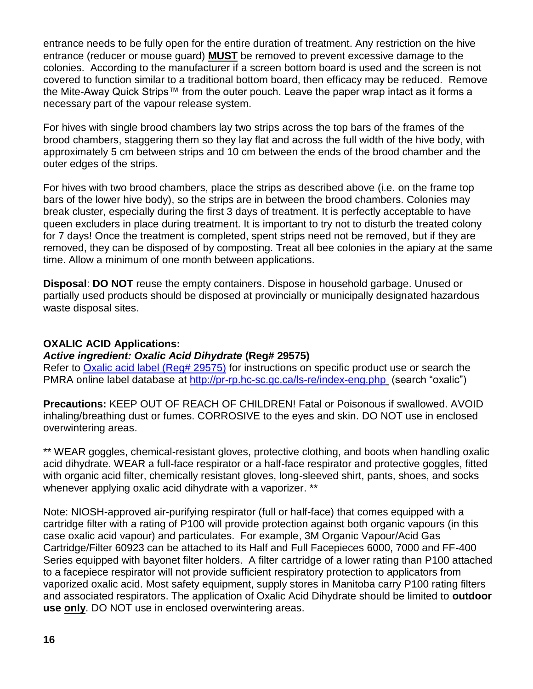entrance needs to be fully open for the entire duration of treatment. Any restriction on the hive entrance (reducer or mouse guard) **MUST** be removed to prevent excessive damage to the colonies. According to the manufacturer if a screen bottom board is used and the screen is not covered to function similar to a traditional bottom board, then efficacy may be reduced.Remove the Mite-Away Quick Strips™ from the outer pouch. Leave the paper wrap intact as it forms a necessary part of the vapour release system.

For hives with single brood chambers lay two strips across the top bars of the frames of the brood chambers, staggering them so they lay flat and across the full width of the hive body, with approximately 5 cm between strips and 10 cm between the ends of the brood chamber and the outer edges of the strips.

For hives with two brood chambers, place the strips as described above (i.e. on the frame top bars of the lower hive body), so the strips are in between the brood chambers. Colonies may break cluster, especially during the first 3 days of treatment. It is perfectly acceptable to have queen excluders in place during treatment. It is important to try not to disturb the treated colony for 7 days! Once the treatment is completed, spent strips need not be removed, but if they are removed, they can be disposed of by composting. Treat all bee colonies in the apiary at the same time. Allow a minimum of one month between applications.

**Disposal**: **DO NOT** reuse the empty containers. Dispose in household garbage. Unused or partially used products should be disposed at provincially or municipally designated hazardous waste disposal sites.

#### <span id="page-15-0"></span>**OXALIC ACID Applications:**

#### *Active ingredient: Oxalic Acid Dihydrate* **(Reg# 29575)**

Refer to [Oxalic acid label \(Reg# 29575\)](https://pr-rp.hc-sc.gc.ca/1_1/view_label?p_ukid=149135548) for instructions on specific product use or search the PMRA online label database at <http://pr-rp.hc-sc.gc.ca/ls-re/index-eng.php> (search "oxalic")

**Precautions:** KEEP OUT OF REACH OF CHILDREN! Fatal or Poisonous if swallowed. AVOID inhaling/breathing dust or fumes. CORROSIVE to the eyes and skin. DO NOT use in enclosed overwintering areas.

\*\* WEAR goggles, chemical-resistant gloves, protective clothing, and boots when handling oxalic acid dihydrate. WEAR a full-face respirator or a half-face respirator and protective goggles, fitted with organic acid filter, chemically resistant gloves, long-sleeved shirt, pants, shoes, and socks whenever applying oxalic acid dihydrate with a vaporizer. \*\*

Note: NIOSH-approved air-purifying respirator (full or half-face) that comes equipped with a cartridge filter with a rating of P100 will provide protection against both organic vapours (in this case oxalic acid vapour) and particulates. For example, 3M Organic Vapour/Acid Gas Cartridge/Filter 60923 can be attached to its Half and Full Facepieces 6000, 7000 and FF-400 Series equipped with bayonet filter holders. A filter cartridge of a lower rating than P100 attached to a facepiece respirator will not provide sufficient respiratory protection to applicators from vaporized oxalic acid. Most safety equipment, supply stores in Manitoba carry P100 rating filters and associated respirators. The application of Oxalic Acid Dihydrate should be limited to **outdoor use only**. DO NOT use in enclosed overwintering areas.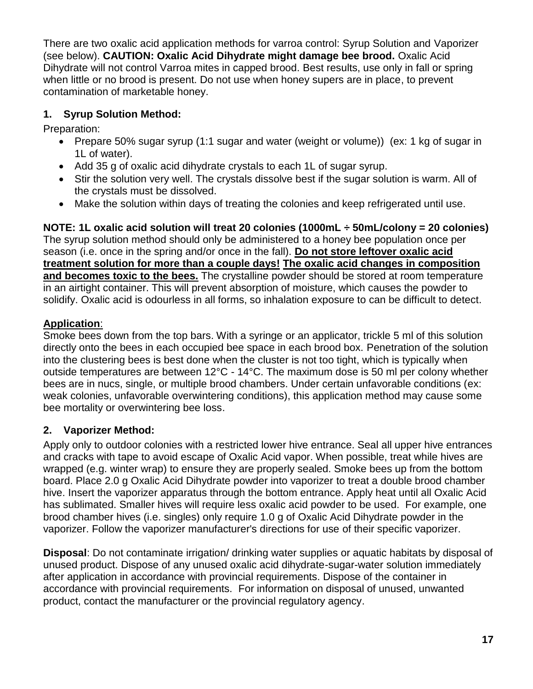There are two oxalic acid application methods for varroa control: Syrup Solution and Vaporizer (see below). **CAUTION: Oxalic Acid Dihydrate might damage bee brood.** Oxalic Acid Dihydrate will not control Varroa mites in capped brood. Best results, use only in fall or spring when little or no brood is present. Do not use when honey supers are in place, to prevent contamination of marketable honey.

#### <span id="page-16-0"></span>**1. Syrup Solution Method:**

Preparation:

- Prepare 50% sugar syrup (1:1 sugar and water (weight or volume)) (ex: 1 kg of sugar in 1L of water).
- Add 35 g of oxalic acid dihydrate crystals to each 1L of sugar syrup.
- Stir the solution very well. The crystals dissolve best if the sugar solution is warm. All of the crystals must be dissolved.
- Make the solution within days of treating the colonies and keep refrigerated until use.

**NOTE: 1L oxalic acid solution will treat 20 colonies (1000mL ÷ 50mL/colony = 20 colonies)** The syrup solution method should only be administered to a honey bee population once per season (i.e. once in the spring and/or once in the fall). **Do not store leftover oxalic acid treatment solution for more than a couple days! The oxalic acid changes in composition and becomes toxic to the bees.** The crystalline powder should be stored at room temperature in an airtight container. This will prevent absorption of moisture, which causes the powder to solidify. Oxalic acid is odourless in all forms, so inhalation exposure to can be difficult to detect.

#### **Application**:

Smoke bees down from the top bars. With a syringe or an applicator, trickle 5 ml of this solution directly onto the bees in each occupied bee space in each brood box. Penetration of the solution into the clustering bees is best done when the cluster is not too tight, which is typically when outside temperatures are between 12°C - 14°C. The maximum dose is 50 ml per colony whether bees are in nucs, single, or multiple brood chambers. Under certain unfavorable conditions (ex: weak colonies, unfavorable overwintering conditions), this application method may cause some bee mortality or overwintering bee loss.

### <span id="page-16-1"></span>**2. Vaporizer Method:**

Apply only to outdoor colonies with a restricted lower hive entrance. Seal all upper hive entrances and cracks with tape to avoid escape of Oxalic Acid vapor. When possible, treat while hives are wrapped (e.g. winter wrap) to ensure they are properly sealed. Smoke bees up from the bottom board. Place 2.0 g Oxalic Acid Dihydrate powder into vaporizer to treat a double brood chamber hive. Insert the vaporizer apparatus through the bottom entrance. Apply heat until all Oxalic Acid has sublimated. Smaller hives will require less oxalic acid powder to be used. For example, one brood chamber hives (i.e. singles) only require 1.0 g of Oxalic Acid Dihydrate powder in the vaporizer. Follow the vaporizer manufacturer's directions for use of their specific vaporizer.

**Disposal**: Do not contaminate irrigation/ drinking water supplies or aquatic habitats by disposal of unused product. Dispose of any unused oxalic acid dihydrate-sugar-water solution immediately after application in accordance with provincial requirements. Dispose of the container in accordance with provincial requirements. For information on disposal of unused, unwanted product, contact the manufacturer or the provincial regulatory agency.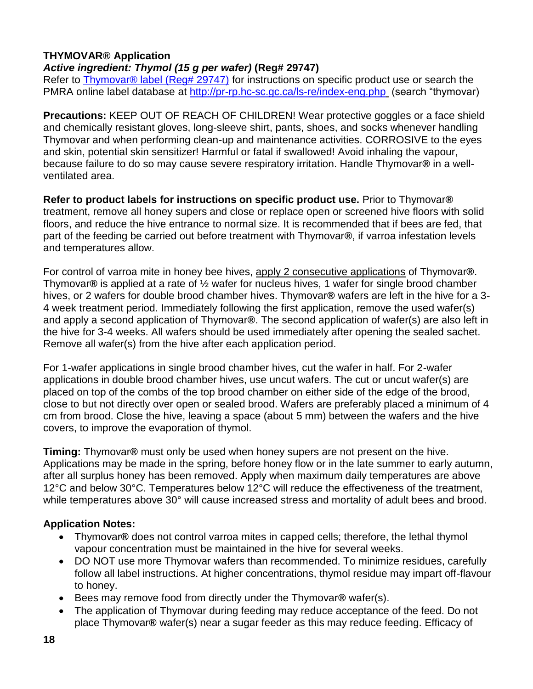#### <span id="page-17-0"></span>**THYMOVAR® Application** *Active ingredient: Thymol (15 g per wafer)* **(Reg# 29747)**

Refer to Thymovar<sup>®</sup> label (Reg# 29747) for instructions on specific product use or search the PMRA online label database at<http://pr-rp.hc-sc.gc.ca/ls-re/index-eng.php> (search "thymovar)

**Precautions:** KEEP OUT OF REACH OF CHILDREN! Wear protective goggles or a face shield and chemically resistant gloves, long-sleeve shirt, pants, shoes, and socks whenever handling Thymovar and when performing clean-up and maintenance activities. CORROSIVE to the eyes and skin, potential skin sensitizer! Harmful or fatal if swallowed! Avoid inhaling the vapour, because failure to do so may cause severe respiratory irritation. Handle Thymovar**®** in a wellventilated area.

**Refer to product labels for instructions on specific product use.** Prior to Thymovar**®** treatment, remove all honey supers and close or replace open or screened hive floors with solid floors, and reduce the hive entrance to normal size. It is recommended that if bees are fed, that part of the feeding be carried out before treatment with Thymovar**®**, if varroa infestation levels and temperatures allow.

For control of varroa mite in honey bee hives, apply 2 consecutive applications of Thymovar**®**. Thymovar**®** is applied at a rate of ½ wafer for nucleus hives, 1 wafer for single brood chamber hives, or 2 wafers for double brood chamber hives. Thymovar**®** wafers are left in the hive for a 3- 4 week treatment period. Immediately following the first application, remove the used wafer(s) and apply a second application of Thymovar**®**. The second application of wafer(s) are also left in the hive for 3-4 weeks. All wafers should be used immediately after opening the sealed sachet. Remove all wafer(s) from the hive after each application period.

For 1-wafer applications in single brood chamber hives, cut the wafer in half. For 2-wafer applications in double brood chamber hives, use uncut wafers. The cut or uncut wafer(s) are placed on top of the combs of the top brood chamber on either side of the edge of the brood, close to but not directly over open or sealed brood. Wafers are preferably placed a minimum of 4 cm from brood. Close the hive, leaving a space (about 5 mm) between the wafers and the hive covers, to improve the evaporation of thymol.

**Timing:** Thymovar**®** must only be used when honey supers are not present on the hive. Applications may be made in the spring, before honey flow or in the late summer to early autumn, after all surplus honey has been removed. Apply when maximum daily temperatures are above 12°C and below 30°C. Temperatures below 12°C will reduce the effectiveness of the treatment, while temperatures above 30° will cause increased stress and mortality of adult bees and brood.

#### **Application Notes:**

- Thymovar**®** does not control varroa mites in capped cells; therefore, the lethal thymol vapour concentration must be maintained in the hive for several weeks.
- DO NOT use more Thymovar wafers than recommended. To minimize residues, carefully follow all label instructions. At higher concentrations, thymol residue may impart off-flavour to honey.
- Bees may remove food from directly under the Thymovar**®** wafer(s).
- The application of Thymovar during feeding may reduce acceptance of the feed. Do not place Thymovar**®** wafer(s) near a sugar feeder as this may reduce feeding. Efficacy of